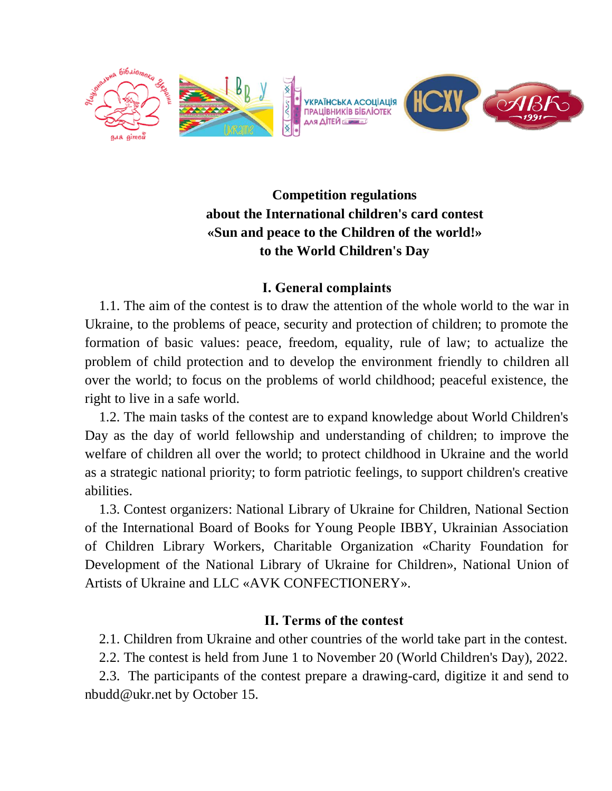

## **Competition regulations about the International children's card contest «Sun and peace to the Children of the world!» to the World Children's Day**

## **І. General complaints**

1.1. The aim of the contest is to draw the attention of the whole world to the war in Ukraine, to the problems of peace, security and protection of children; to promote the formation of basic values: peace, freedom, equality, rule of law; to actualize the problem of child protection and to develop the environment friendly to children all over the world; to focus on the problems of world childhood; peaceful existence, the right to live in a safe world.

1.2. The main tasks of the contest are to expand knowledge about World Children's Day as the day of world fellowship and understanding of children; to improve the welfare of children all over the world; to protect childhood in Ukraine and the world as a strategic national priority; to form patriotic feelings, to support children's creative abilities.

1.3. Contest organizers: National Library of Ukraine for Children, National Section of the International Board of Books for Young People IBBY, Ukrainian Association of Children Library Workers, Charitable Organization «Charity Foundation for Development of the National Library of Ukraine for Children», National Union of Artists of Ukraine and LLC «AVK CONFECTIONERY».

## **ІІ. Terms of the contest**

2.1. Children from Ukraine and other countries of the world take part in the contest.

2.2. The contest is held from June 1 to November 20 (World Children's Day), 2022.

2.3. The participants of the contest prepare a drawing-card, digitize it and send to nbudd@ukr.net by October 15.